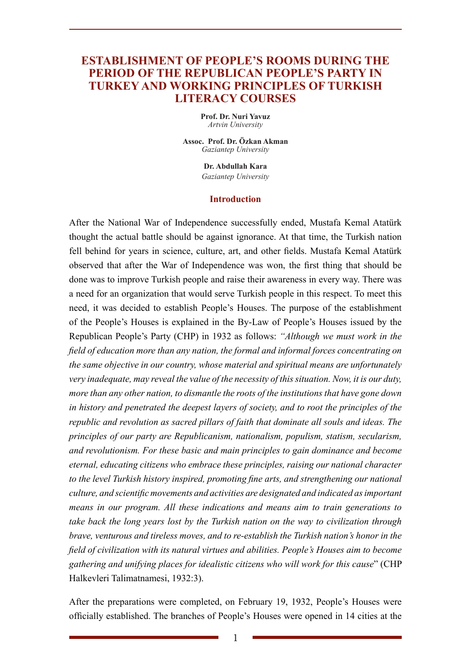# **ESTABLISHMENT OF PEOPLE'S ROOMS DURING THE PERIOD OF THE REPUBLICAN PEOPLE'S PARTY IN TURKEY AND WORKING PRINCIPLES OF TURKISH LITERACY COURSES**

**Prof. Dr. Nuri Yavuz** *Artvin University*

**Assoc. Prof. Dr. Özkan Akman** *Gaziantep University*

> **Dr. Abdullah Kara** *Gaziantep University*

#### **Introduction**

After the National War of Independence successfully ended, Mustafa Kemal Atatürk thought the actual battle should be against ignorance. At that time, the Turkish nation fell behind for years in science, culture, art, and other fields. Mustafa Kemal Atatürk observed that after the War of Independence was won, the first thing that should be done was to improve Turkish people and raise their awareness in every way. There was a need for an organization that would serve Turkish people in this respect. To meet this need, it was decided to establish People's Houses. The purpose of the establishment of the People's Houses is explained in the By-Law of People's Houses issued by the Republican People's Party (CHP) in 1932 as follows: *"Although we must work in the field of education more than any nation, the formal and informal forces concentrating on the same objective in our country, whose material and spiritual means are unfortunately very inadequate, may reveal the value of the necessity of this situation. Now, it is our duty, more than any other nation, to dismantle the roots of the institutions that have gone down in history and penetrated the deepest layers of society, and to root the principles of the republic and revolution as sacred pillars of faith that dominate all souls and ideas. The principles of our party are Republicanism, nationalism, populism, statism, secularism, and revolutionism. For these basic and main principles to gain dominance and become eternal, educating citizens who embrace these principles, raising our national character to the level Turkish history inspired, promoting fine arts, and strengthening our national culture, and scientific movements and activities are designated and indicated as important means in our program. All these indications and means aim to train generations to take back the long years lost by the Turkish nation on the way to civilization through brave, venturous and tireless moves, and to re-establish the Turkish nation's honor in the field of civilization with its natural virtues and abilities. People's Houses aim to become gathering and unifying places for idealistic citizens who will work for this cause*" (CHP Halkevleri Talimatnamesi, 1932:3).

After the preparations were completed, on February 19, 1932, People's Houses were officially established. The branches of People's Houses were opened in 14 cities at the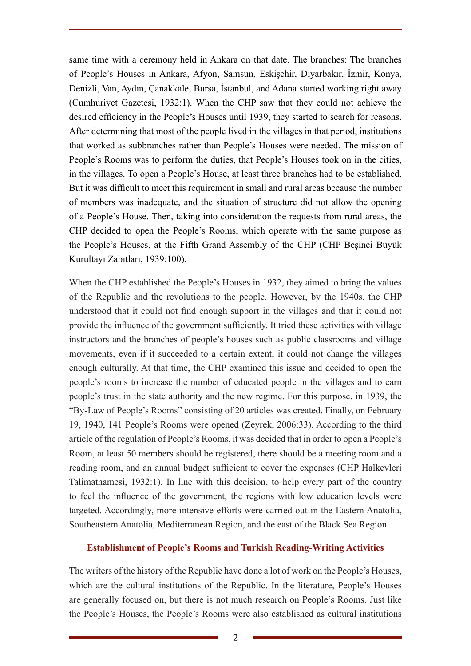same time with a ceremony held in Ankara on that date. The branches: The branches of People's Houses in Ankara, Afyon, Samsun, Eskişehir, Diyarbakır, İzmir, Konya, Denizli, Van, Aydın, Çanakkale, Bursa, İstanbul, and Adana started working right away (Cumhuriyet Gazetesi, 1932:1). When the CHP saw that they could not achieve the desired efficiency in the People's Houses until 1939, they started to search for reasons. After determining that most of the people lived in the villages in that period, institutions that worked as subbranches rather than People's Houses were needed. The mission of People's Rooms was to perform the duties, that People's Houses took on in the cities, in the villages. To open a People's House, at least three branches had to be established. But it was difficult to meet this requirement in small and rural areas because the number of members was inadequate, and the situation of structure did not allow the opening of a People's House. Then, taking into consideration the requests from rural areas, the CHP decided to open the People's Rooms, which operate with the same purpose as the People's Houses, at the Fifth Grand Assembly of the CHP (CHP Beşinci Büyük Kurultayı Zabıtları, 1939:100).

When the CHP established the People's Houses in 1932, they aimed to bring the values of the Republic and the revolutions to the people. However, by the 1940s, the CHP understood that it could not find enough support in the villages and that it could not provide the influence of the government sufficiently. It tried these activities with village instructors and the branches of people's houses such as public classrooms and village movements, even if it succeeded to a certain extent, it could not change the villages enough culturally. At that time, the CHP examined this issue and decided to open the people's rooms to increase the number of educated people in the villages and to earn people's trust in the state authority and the new regime. For this purpose, in 1939, the "By-Law of People's Rooms" consisting of 20 articles was created. Finally, on February 19, 1940, 141 People's Rooms were opened (Zeyrek, 2006:33). According to the third article of the regulation of People's Rooms, it was decided that in order to open a People's Room, at least 50 members should be registered, there should be a meeting room and a reading room, and an annual budget sufficient to cover the expenses (CHP Halkevleri Talimatnamesi, 1932:1). In line with this decision, to help every part of the country to feel the influence of the government, the regions with low education levels were targeted. Accordingly, more intensive efforts were carried out in the Eastern Anatolia, Southeastern Anatolia, Mediterranean Region, and the east of the Black Sea Region.

## **Establishment of People's Rooms and Turkish Reading-Writing Activities**

The writers of the history of the Republic have done a lot of work on the People's Houses, which are the cultural institutions of the Republic. In the literature, People's Houses are generally focused on, but there is not much research on People's Rooms. Just like the People's Houses, the People's Rooms were also established as cultural institutions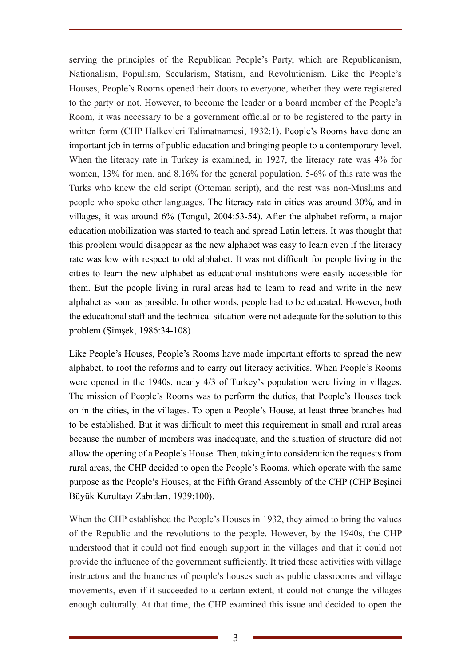serving the principles of the Republican People's Party, which are Republicanism, Nationalism, Populism, Secularism, Statism, and Revolutionism. Like the People's Houses, People's Rooms opened their doors to everyone, whether they were registered to the party or not. However, to become the leader or a board member of the People's Room, it was necessary to be a government official or to be registered to the party in written form (CHP Halkevleri Talimatnamesi, 1932:1). People's Rooms have done an important job in terms of public education and bringing people to a contemporary level. When the literacy rate in Turkey is examined, in 1927, the literacy rate was 4% for women, 13% for men, and 8.16% for the general population. 5-6% of this rate was the Turks who knew the old script (Ottoman script), and the rest was non-Muslims and people who spoke other languages. The literacy rate in cities was around 30%, and in villages, it was around 6% (Tongul, 2004:53-54). After the alphabet reform, a major education mobilization was started to teach and spread Latin letters. It was thought that this problem would disappear as the new alphabet was easy to learn even if the literacy rate was low with respect to old alphabet. It was not difficult for people living in the cities to learn the new alphabet as educational institutions were easily accessible for them. But the people living in rural areas had to learn to read and write in the new alphabet as soon as possible. In other words, people had to be educated. However, both the educational staff and the technical situation were not adequate for the solution to this problem (Şimşek, 1986:34-108)

Like People's Houses, People's Rooms have made important efforts to spread the new alphabet, to root the reforms and to carry out literacy activities. When People's Rooms were opened in the 1940s, nearly 4/3 of Turkey's population were living in villages. The mission of People's Rooms was to perform the duties, that People's Houses took on in the cities, in the villages. To open a People's House, at least three branches had to be established. But it was difficult to meet this requirement in small and rural areas because the number of members was inadequate, and the situation of structure did not allow the opening of a People's House. Then, taking into consideration the requests from rural areas, the CHP decided to open the People's Rooms, which operate with the same purpose as the People's Houses, at the Fifth Grand Assembly of the CHP (CHP Beşinci Büyük Kurultayı Zabıtları, 1939:100).

When the CHP established the People's Houses in 1932, they aimed to bring the values of the Republic and the revolutions to the people. However, by the 1940s, the CHP understood that it could not find enough support in the villages and that it could not provide the influence of the government sufficiently. It tried these activities with village instructors and the branches of people's houses such as public classrooms and village movements, even if it succeeded to a certain extent, it could not change the villages enough culturally. At that time, the CHP examined this issue and decided to open the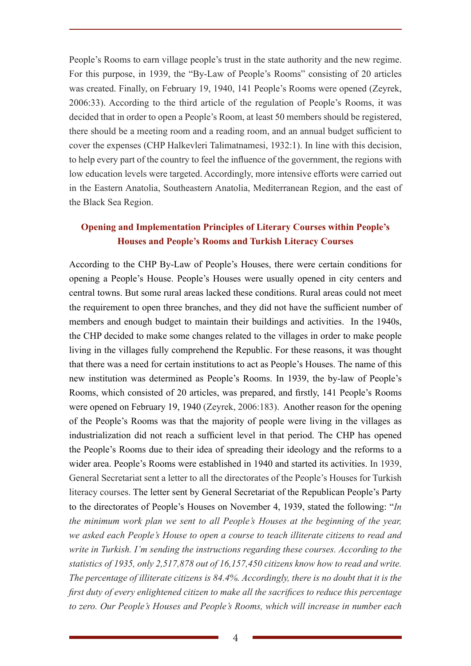People's Rooms to earn village people's trust in the state authority and the new regime. For this purpose, in 1939, the "By-Law of People's Rooms" consisting of 20 articles was created. Finally, on February 19, 1940, 141 People's Rooms were opened (Zeyrek, 2006:33). According to the third article of the regulation of People's Rooms, it was decided that in order to open a People's Room, at least 50 members should be registered, there should be a meeting room and a reading room, and an annual budget sufficient to cover the expenses (CHP Halkevleri Talimatnamesi, 1932:1). In line with this decision, to help every part of the country to feel the influence of the government, the regions with low education levels were targeted. Accordingly, more intensive efforts were carried out in the Eastern Anatolia, Southeastern Anatolia, Mediterranean Region, and the east of the Black Sea Region.

# **Opening and Implementation Principles of Literary Courses within People's Houses and People's Rooms and Turkish Literacy Courses**

According to the CHP By-Law of People's Houses, there were certain conditions for opening a People's House. People's Houses were usually opened in city centers and central towns. But some rural areas lacked these conditions. Rural areas could not meet the requirement to open three branches, and they did not have the sufficient number of members and enough budget to maintain their buildings and activities. In the 1940s, the CHP decided to make some changes related to the villages in order to make people living in the villages fully comprehend the Republic. For these reasons, it was thought that there was a need for certain institutions to act as People's Houses. The name of this new institution was determined as People's Rooms. In 1939, the by-law of People's Rooms, which consisted of 20 articles, was prepared, and firstly, 141 People's Rooms were opened on February 19, 1940 (Zeyrek, 2006:183). Another reason for the opening of the People's Rooms was that the majority of people were living in the villages as industrialization did not reach a sufficient level in that period. The CHP has opened the People's Rooms due to their idea of spreading their ideology and the reforms to a wider area. People's Rooms were established in 1940 and started its activities. In 1939, General Secretariat sent a letter to all the directorates of the People's Houses for Turkish literacy courses. The letter sent by General Secretariat of the Republican People's Party to the directorates of People's Houses on November 4, 1939, stated the following: "*In the minimum work plan we sent to all People's Houses at the beginning of the year, we asked each People's House to open a course to teach illiterate citizens to read and write in Turkish. I'm sending the instructions regarding these courses. According to the statistics of 1935, only 2,517,878 out of 16,157,450 citizens know how to read and write. The percentage of illiterate citizens is 84.4%. Accordingly, there is no doubt that it is the first duty of every enlightened citizen to make all the sacrifices to reduce this percentage to zero. Our People's Houses and People's Rooms, which will increase in number each*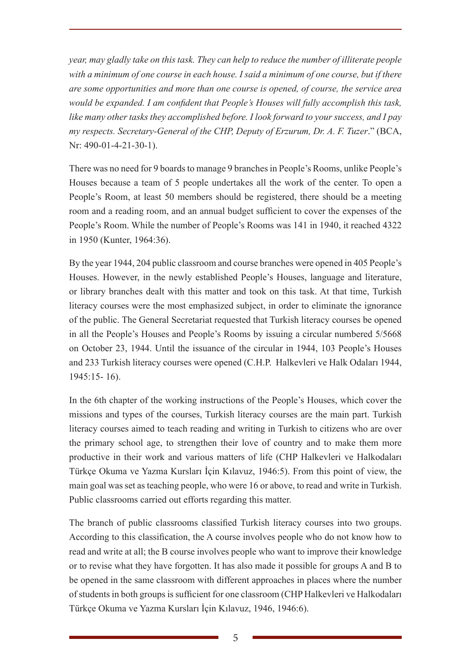*year, may gladly take on this task. They can help to reduce the number of illiterate people with a minimum of one course in each house. I said a minimum of one course, but if there are some opportunities and more than one course is opened, of course, the service area would be expanded. I am confident that People's Houses will fully accomplish this task, like many other tasks they accomplished before. I look forward to your success, and I pay my respects. Secretary-General of the CHP, Deputy of Erzurum, Dr. A. F. Tuzer*." (BCA, Nr: 490-01-4-21-30-1).

There was no need for 9 boards to manage 9 branches in People's Rooms, unlike People's Houses because a team of 5 people undertakes all the work of the center. To open a People's Room, at least 50 members should be registered, there should be a meeting room and a reading room, and an annual budget sufficient to cover the expenses of the People's Room. While the number of People's Rooms was 141 in 1940, it reached 4322 in 1950 (Kunter, 1964:36).

By the year 1944, 204 public classroom and course branches were opened in 405 People's Houses. However, in the newly established People's Houses, language and literature, or library branches dealt with this matter and took on this task. At that time, Turkish literacy courses were the most emphasized subject, in order to eliminate the ignorance of the public. The General Secretariat requested that Turkish literacy courses be opened in all the People's Houses and People's Rooms by issuing a circular numbered 5/5668 on October 23, 1944. Until the issuance of the circular in 1944, 103 People's Houses and 233 Turkish literacy courses were opened (C.H.P. Halkevleri ve Halk Odaları 1944, 1945:15- 16).

In the 6th chapter of the working instructions of the People's Houses, which cover the missions and types of the courses, Turkish literacy courses are the main part. Turkish literacy courses aimed to teach reading and writing in Turkish to citizens who are over the primary school age, to strengthen their love of country and to make them more productive in their work and various matters of life (CHP Halkevleri ve Halkodaları Türkçe Okuma ve Yazma Kursları İçin Kılavuz, 1946:5). From this point of view, the main goal was set as teaching people, who were 16 or above, to read and write in Turkish. Public classrooms carried out efforts regarding this matter.

The branch of public classrooms classified Turkish literacy courses into two groups. According to this classification, the A course involves people who do not know how to read and write at all; the B course involves people who want to improve their knowledge or to revise what they have forgotten. It has also made it possible for groups A and B to be opened in the same classroom with different approaches in places where the number of students in both groups is sufficient for one classroom (CHP Halkevleri ve Halkodaları Türkçe Okuma ve Yazma Kursları İçin Kılavuz, 1946, 1946:6).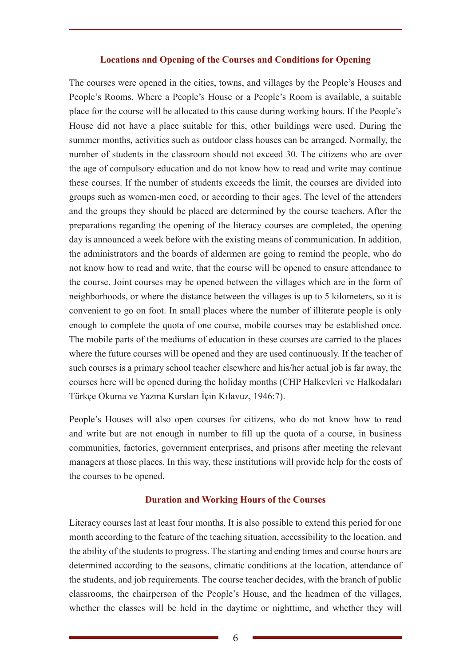## **Locations and Opening of the Courses and Conditions for Opening**

The courses were opened in the cities, towns, and villages by the People's Houses and People's Rooms. Where a People's House or a People's Room is available, a suitable place for the course will be allocated to this cause during working hours. If the People's House did not have a place suitable for this, other buildings were used. During the summer months, activities such as outdoor class houses can be arranged. Normally, the number of students in the classroom should not exceed 30. The citizens who are over the age of compulsory education and do not know how to read and write may continue these courses. If the number of students exceeds the limit, the courses are divided into groups such as women-men coed, or according to their ages. The level of the attenders and the groups they should be placed are determined by the course teachers. After the preparations regarding the opening of the literacy courses are completed, the opening day is announced a week before with the existing means of communication. In addition, the administrators and the boards of aldermen are going to remind the people, who do not know how to read and write, that the course will be opened to ensure attendance to the course. Joint courses may be opened between the villages which are in the form of neighborhoods, or where the distance between the villages is up to 5 kilometers, so it is convenient to go on foot. In small places where the number of illiterate people is only enough to complete the quota of one course, mobile courses may be established once. The mobile parts of the mediums of education in these courses are carried to the places where the future courses will be opened and they are used continuously. If the teacher of such courses is a primary school teacher elsewhere and his/her actual job is far away, the courses here will be opened during the holiday months (CHP Halkevleri ve Halkodaları Türkçe Okuma ve Yazma Kursları İçin Kılavuz, 1946:7).

People's Houses will also open courses for citizens, who do not know how to read and write but are not enough in number to fill up the quota of a course, in business communities, factories, government enterprises, and prisons after meeting the relevant managers at those places. In this way, these institutions will provide help for the costs of the courses to be opened.

## **Duration and Working Hours of the Courses**

Literacy courses last at least four months. It is also possible to extend this period for one month according to the feature of the teaching situation, accessibility to the location, and the ability of the students to progress. The starting and ending times and course hours are determined according to the seasons, climatic conditions at the location, attendance of the students, and job requirements. The course teacher decides, with the branch of public classrooms, the chairperson of the People's House, and the headmen of the villages, whether the classes will be held in the daytime or nighttime, and whether they will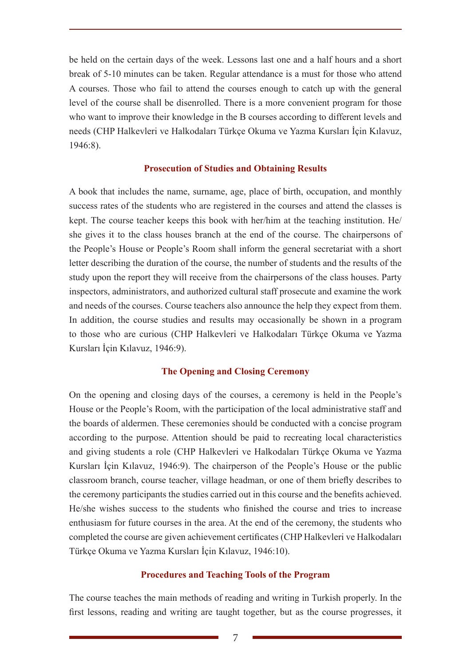be held on the certain days of the week. Lessons last one and a half hours and a short break of 5-10 minutes can be taken. Regular attendance is a must for those who attend A courses. Those who fail to attend the courses enough to catch up with the general level of the course shall be disenrolled. There is a more convenient program for those who want to improve their knowledge in the B courses according to different levels and needs (CHP Halkevleri ve Halkodaları Türkçe Okuma ve Yazma Kursları İçin Kılavuz, 1946:8).

## **Prosecution of Studies and Obtaining Results**

A book that includes the name, surname, age, place of birth, occupation, and monthly success rates of the students who are registered in the courses and attend the classes is kept. The course teacher keeps this book with her/him at the teaching institution. He/ she gives it to the class houses branch at the end of the course. The chairpersons of the People's House or People's Room shall inform the general secretariat with a short letter describing the duration of the course, the number of students and the results of the study upon the report they will receive from the chairpersons of the class houses. Party inspectors, administrators, and authorized cultural staff prosecute and examine the work and needs of the courses. Course teachers also announce the help they expect from them. In addition, the course studies and results may occasionally be shown in a program to those who are curious (CHP Halkevleri ve Halkodaları Türkçe Okuma ve Yazma Kursları İçin Kılavuz, 1946:9).

## **The Opening and Closing Ceremony**

On the opening and closing days of the courses, a ceremony is held in the People's House or the People's Room, with the participation of the local administrative staff and the boards of aldermen. These ceremonies should be conducted with a concise program according to the purpose. Attention should be paid to recreating local characteristics and giving students a role (CHP Halkevleri ve Halkodaları Türkçe Okuma ve Yazma Kursları İçin Kılavuz, 1946:9). The chairperson of the People's House or the public classroom branch, course teacher, village headman, or one of them briefly describes to the ceremony participants the studies carried out in this course and the benefits achieved. He/she wishes success to the students who finished the course and tries to increase enthusiasm for future courses in the area. At the end of the ceremony, the students who completed the course are given achievement certificates (CHP Halkevleri ve Halkodaları Türkçe Okuma ve Yazma Kursları İçin Kılavuz, 1946:10).

## **Procedures and Teaching Tools of the Program**

The course teaches the main methods of reading and writing in Turkish properly. In the first lessons, reading and writing are taught together, but as the course progresses, it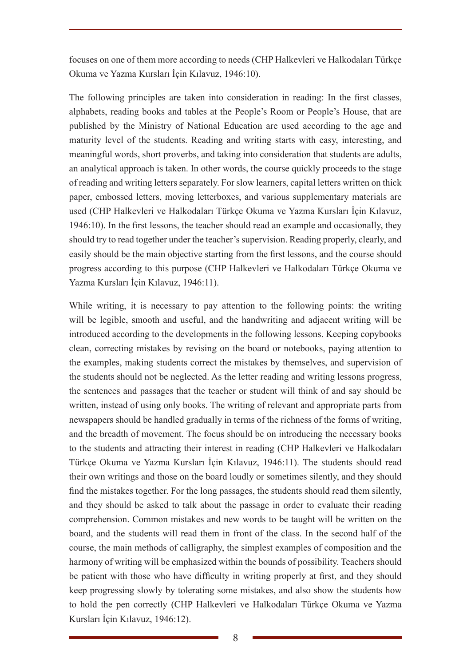focuses on one of them more according to needs (CHP Halkevleri ve Halkodaları Türkçe Okuma ve Yazma Kursları İçin Kılavuz, 1946:10).

The following principles are taken into consideration in reading: In the first classes, alphabets, reading books and tables at the People's Room or People's House, that are published by the Ministry of National Education are used according to the age and maturity level of the students. Reading and writing starts with easy, interesting, and meaningful words, short proverbs, and taking into consideration that students are adults, an analytical approach is taken. In other words, the course quickly proceeds to the stage of reading and writing letters separately. For slow learners, capital letters written on thick paper, embossed letters, moving letterboxes, and various supplementary materials are used (CHP Halkevleri ve Halkodaları Türkçe Okuma ve Yazma Kursları İçin Kılavuz, 1946:10). In the first lessons, the teacher should read an example and occasionally, they should try to read together under the teacher's supervision. Reading properly, clearly, and easily should be the main objective starting from the first lessons, and the course should progress according to this purpose (CHP Halkevleri ve Halkodaları Türkçe Okuma ve Yazma Kursları İçin Kılavuz, 1946:11).

While writing, it is necessary to pay attention to the following points: the writing will be legible, smooth and useful, and the handwriting and adjacent writing will be introduced according to the developments in the following lessons. Keeping copybooks clean, correcting mistakes by revising on the board or notebooks, paying attention to the examples, making students correct the mistakes by themselves, and supervision of the students should not be neglected. As the letter reading and writing lessons progress, the sentences and passages that the teacher or student will think of and say should be written, instead of using only books. The writing of relevant and appropriate parts from newspapers should be handled gradually in terms of the richness of the forms of writing, and the breadth of movement. The focus should be on introducing the necessary books to the students and attracting their interest in reading (CHP Halkevleri ve Halkodaları Türkçe Okuma ve Yazma Kursları İçin Kılavuz, 1946:11). The students should read their own writings and those on the board loudly or sometimes silently, and they should find the mistakes together. For the long passages, the students should read them silently, and they should be asked to talk about the passage in order to evaluate their reading comprehension. Common mistakes and new words to be taught will be written on the board, and the students will read them in front of the class. In the second half of the course, the main methods of calligraphy, the simplest examples of composition and the harmony of writing will be emphasized within the bounds of possibility. Teachers should be patient with those who have difficulty in writing properly at first, and they should keep progressing slowly by tolerating some mistakes, and also show the students how to hold the pen correctly (CHP Halkevleri ve Halkodaları Türkçe Okuma ve Yazma Kursları İçin Kılavuz, 1946:12).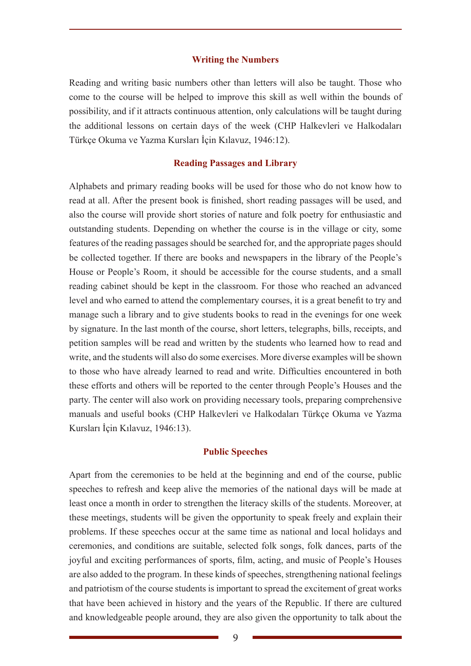#### **Writing the Numbers**

Reading and writing basic numbers other than letters will also be taught. Those who come to the course will be helped to improve this skill as well within the bounds of possibility, and if it attracts continuous attention, only calculations will be taught during the additional lessons on certain days of the week (CHP Halkevleri ve Halkodaları Türkçe Okuma ve Yazma Kursları İçin Kılavuz, 1946:12).

## **Reading Passages and Library**

Alphabets and primary reading books will be used for those who do not know how to read at all. After the present book is finished, short reading passages will be used, and also the course will provide short stories of nature and folk poetry for enthusiastic and outstanding students. Depending on whether the course is in the village or city, some features of the reading passages should be searched for, and the appropriate pages should be collected together. If there are books and newspapers in the library of the People's House or People's Room, it should be accessible for the course students, and a small reading cabinet should be kept in the classroom. For those who reached an advanced level and who earned to attend the complementary courses, it is a great benefit to try and manage such a library and to give students books to read in the evenings for one week by signature. In the last month of the course, short letters, telegraphs, bills, receipts, and petition samples will be read and written by the students who learned how to read and write, and the students will also do some exercises. More diverse examples will be shown to those who have already learned to read and write. Difficulties encountered in both these efforts and others will be reported to the center through People's Houses and the party. The center will also work on providing necessary tools, preparing comprehensive manuals and useful books (CHP Halkevleri ve Halkodaları Türkçe Okuma ve Yazma Kursları İçin Kılavuz, 1946:13).

#### **Public Speeches**

Apart from the ceremonies to be held at the beginning and end of the course, public speeches to refresh and keep alive the memories of the national days will be made at least once a month in order to strengthen the literacy skills of the students. Moreover, at these meetings, students will be given the opportunity to speak freely and explain their problems. If these speeches occur at the same time as national and local holidays and ceremonies, and conditions are suitable, selected folk songs, folk dances, parts of the joyful and exciting performances of sports, film, acting, and music of People's Houses are also added to the program. In these kinds of speeches, strengthening national feelings and patriotism of the course students is important to spread the excitement of great works that have been achieved in history and the years of the Republic. If there are cultured and knowledgeable people around, they are also given the opportunity to talk about the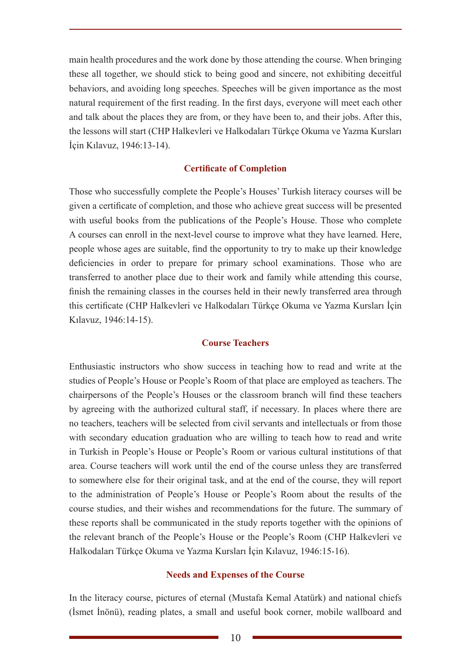main health procedures and the work done by those attending the course. When bringing these all together, we should stick to being good and sincere, not exhibiting deceitful behaviors, and avoiding long speeches. Speeches will be given importance as the most natural requirement of the first reading. In the first days, everyone will meet each other and talk about the places they are from, or they have been to, and their jobs. After this, the lessons will start (CHP Halkevleri ve Halkodaları Türkçe Okuma ve Yazma Kursları İçin Kılavuz, 1946:13-14).

## **Certificate of Completion**

Those who successfully complete the People's Houses' Turkish literacy courses will be given a certificate of completion, and those who achieve great success will be presented with useful books from the publications of the People's House. Those who complete A courses can enroll in the next-level course to improve what they have learned. Here, people whose ages are suitable, find the opportunity to try to make up their knowledge deficiencies in order to prepare for primary school examinations. Those who are transferred to another place due to their work and family while attending this course, finish the remaining classes in the courses held in their newly transferred area through this certificate (CHP Halkevleri ve Halkodaları Türkçe Okuma ve Yazma Kursları İçin Kılavuz, 1946:14-15).

## **Course Teachers**

Enthusiastic instructors who show success in teaching how to read and write at the studies of People's House or People's Room of that place are employed as teachers. The chairpersons of the People's Houses or the classroom branch will find these teachers by agreeing with the authorized cultural staff, if necessary. In places where there are no teachers, teachers will be selected from civil servants and intellectuals or from those with secondary education graduation who are willing to teach how to read and write in Turkish in People's House or People's Room or various cultural institutions of that area. Course teachers will work until the end of the course unless they are transferred to somewhere else for their original task, and at the end of the course, they will report to the administration of People's House or People's Room about the results of the course studies, and their wishes and recommendations for the future. The summary of these reports shall be communicated in the study reports together with the opinions of the relevant branch of the People's House or the People's Room (CHP Halkevleri ve Halkodaları Türkçe Okuma ve Yazma Kursları İçin Kılavuz, 1946:15-16).

#### **Needs and Expenses of the Course**

In the literacy course, pictures of eternal (Mustafa Kemal Atatürk) and national chiefs (İsmet İnönü), reading plates, a small and useful book corner, mobile wallboard and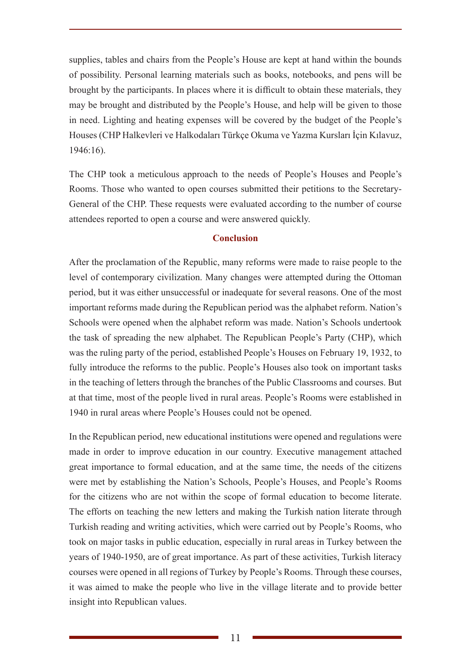supplies, tables and chairs from the People's House are kept at hand within the bounds of possibility. Personal learning materials such as books, notebooks, and pens will be brought by the participants. In places where it is difficult to obtain these materials, they may be brought and distributed by the People's House, and help will be given to those in need. Lighting and heating expenses will be covered by the budget of the People's Houses (CHP Halkevleri ve Halkodaları Türkçe Okuma ve Yazma Kursları İçin Kılavuz, 1946:16).

The CHP took a meticulous approach to the needs of People's Houses and People's Rooms. Those who wanted to open courses submitted their petitions to the Secretary-General of the CHP. These requests were evaluated according to the number of course attendees reported to open a course and were answered quickly.

# **Conclusion**

After the proclamation of the Republic, many reforms were made to raise people to the level of contemporary civilization. Many changes were attempted during the Ottoman period, but it was either unsuccessful or inadequate for several reasons. One of the most important reforms made during the Republican period was the alphabet reform. Nation's Schools were opened when the alphabet reform was made. Nation's Schools undertook the task of spreading the new alphabet. The Republican People's Party (CHP), which was the ruling party of the period, established People's Houses on February 19, 1932, to fully introduce the reforms to the public. People's Houses also took on important tasks in the teaching of letters through the branches of the Public Classrooms and courses. But at that time, most of the people lived in rural areas. People's Rooms were established in 1940 in rural areas where People's Houses could not be opened.

In the Republican period, new educational institutions were opened and regulations were made in order to improve education in our country. Executive management attached great importance to formal education, and at the same time, the needs of the citizens were met by establishing the Nation's Schools, People's Houses, and People's Rooms for the citizens who are not within the scope of formal education to become literate. The efforts on teaching the new letters and making the Turkish nation literate through Turkish reading and writing activities, which were carried out by People's Rooms, who took on major tasks in public education, especially in rural areas in Turkey between the years of 1940-1950, are of great importance. As part of these activities, Turkish literacy courses were opened in all regions of Turkey by People's Rooms. Through these courses, it was aimed to make the people who live in the village literate and to provide better insight into Republican values.